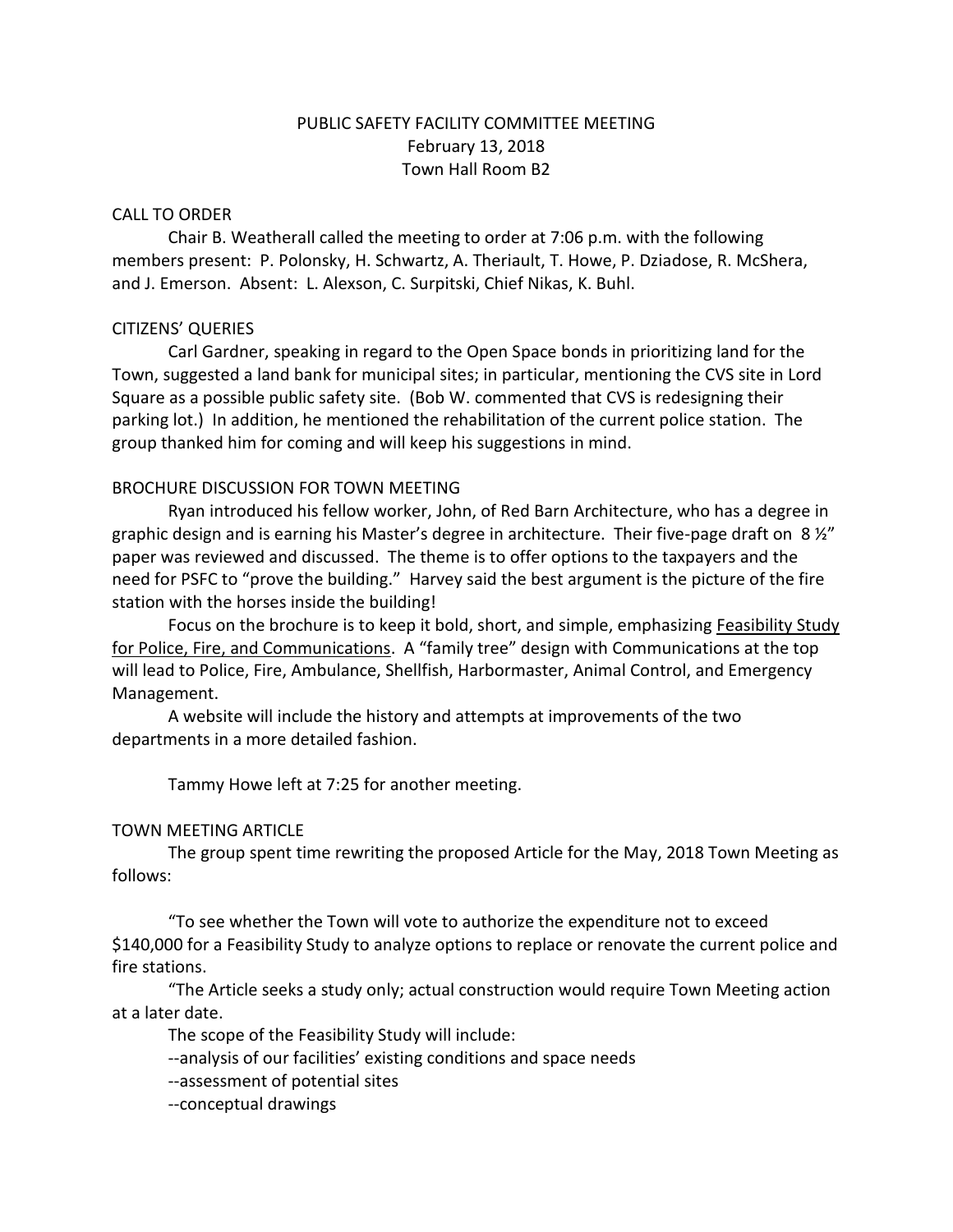# PUBLIC SAFETY FACILITY COMMITTEE MEETING February 13, 2018 Town Hall Room B2

#### CALL TO ORDER

Chair B. Weatherall called the meeting to order at 7:06 p.m. with the following members present: P. Polonsky, H. Schwartz, A. Theriault, T. Howe, P. Dziadose, R. McShera, and J. Emerson. Absent: L. Alexson, C. Surpitski, Chief Nikas, K. Buhl.

## CITIZENS' QUERIES

Carl Gardner, speaking in regard to the Open Space bonds in prioritizing land for the Town, suggested a land bank for municipal sites; in particular, mentioning the CVS site in Lord Square as a possible public safety site. (Bob W. commented that CVS is redesigning their parking lot.) In addition, he mentioned the rehabilitation of the current police station. The group thanked him for coming and will keep his suggestions in mind.

## BROCHURE DISCUSSION FOR TOWN MEETING

Ryan introduced his fellow worker, John, of Red Barn Architecture, who has a degree in graphic design and is earning his Master's degree in architecture. Their five-page draft on  $8\frac{y}{x}$ paper was reviewed and discussed. The theme is to offer options to the taxpayers and the need for PSFC to "prove the building." Harvey said the best argument is the picture of the fire station with the horses inside the building!

Focus on the brochure is to keep it bold, short, and simple, emphasizing Feasibility Study for Police, Fire, and Communications. A "family tree" design with Communications at the top will lead to Police, Fire, Ambulance, Shellfish, Harbormaster, Animal Control, and Emergency Management.

A website will include the history and attempts at improvements of the two departments in a more detailed fashion.

Tammy Howe left at 7:25 for another meeting.

## TOWN MEETING ARTICLE

The group spent time rewriting the proposed Article for the May, 2018 Town Meeting as follows:

"To see whether the Town will vote to authorize the expenditure not to exceed \$140,000 for a Feasibility Study to analyze options to replace or renovate the current police and fire stations.

"The Article seeks a study only; actual construction would require Town Meeting action at a later date.

The scope of the Feasibility Study will include:

--analysis of our facilities' existing conditions and space needs

--assessment of potential sites

--conceptual drawings